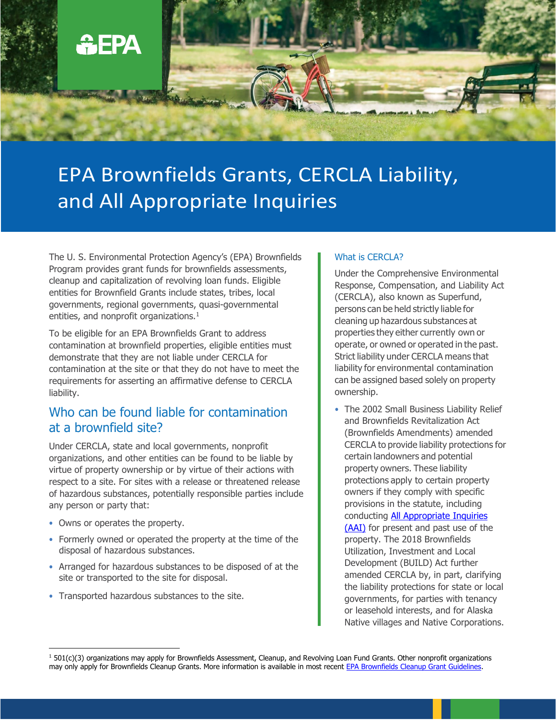

# EPA Brownfields Grants, CERCLA Liability, and All Appropriate Inquiries

The U. S. Environmental Protection Agency's (EPA) Brownfields Program provides grant funds for brownfields assessments, cleanup and capitalization of revolving loan funds. Eligible entities for Brownfield Grants include states, tribes, local governments, regional governments, quasi-governmental entities, and nonprofit organizations.<sup>1</sup>

To be eligible for an EPA Brownfields Grant to address contamination at brownfield properties, eligible entities must demonstrate that they are not liable under CERCLA for contamination at the site or that they do not have to meet the requirements for asserting an affirmative defense to CERCLA liability.

## Who can be found liable for contamination at a brownfield site?

Under CERCLA, state and local governments, nonprofit organizations, and other entities can be found to be liable by virtue of property ownership or by virtue of their actions with respect to a site. For sites with a release or threatened release of hazardous substances, potentially responsible parties include any person or party that:

- Owns or operates the property.
- Formerly owned or operated the property at the time of the disposal of hazardous substances.
- Arranged for hazardous substances to be disposed of at the site or transported to the site for disposal.
- Transported hazardous substances to the site.

#### What is CERCLA?

Under the Comprehensive Environmental Response, Compensation, and Liability Act (CERCLA), also known as Superfund, persons can be held strictly liable for cleaning up hazardous substances at properties they either currently own or operate, or owned or operated in the past. Strict liability under CERCLA means that liability for environmental contamination can be assigned based solely on property ownership.

• The 2002 Small Business Liability Relief and Brownfields Revitalization Act (Brownfields Amendments) amended CERCLA to provide liability protections for certain landowners and potential property owners. These liability protections apply to certain property owners if they comply with specific provisions in the statute, including conducting [All Appropriate Inquiries](https://www.epa.gov/brownfields/brownfields-all-appropriate-inquiries) [\(AAI\)](https://www.epa.gov/brownfields/brownfields-all-appropriate-inquiries) for present and past use of the property. The 2018 Brownfields Utilization, Investment and Local Development (BUILD) Act further amended CERCLA by, in part, clarifying the liability protections for state or local governments, for parties with tenancy or leasehold interests, and for Alaska Native villages and Native Corporations.

 $1501(c)(3)$  organizations may apply for Brownfields Assessment, Cleanup, and Revolving Loan Fund Grants. Other nonprofit organizations may only apply for Brownfields Cleanup Grants. More information is available in most recent [EPA Brownfields Cleanup Grant Guidelines.](https://www.epa.gov/brownfields/multipurpose-assessment-rlf-and-cleanup-marc-grant-application-resources)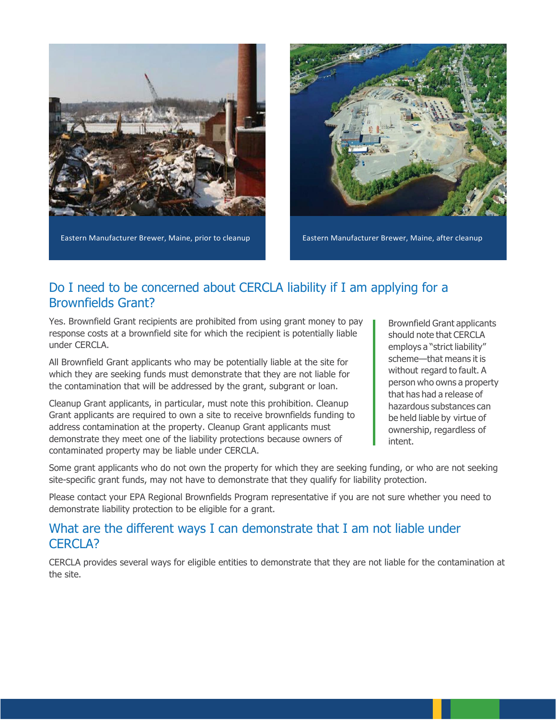

Eastern Manufacturer Brewer, Maine, prior to cleanup Eastern Manufacturer Brewer, Maine, after cleanup



# Do I need to be concerned about CERCLA liability if I am applying for a Brownfields Grant?

Yes. Brownfield Grant recipients are prohibited from using grant money to pay response costs at a brownfield site for which the recipient is potentially liable under CERCLA.

All Brownfield Grant applicants who may be potentially liable at the site for which they are seeking funds must demonstrate that they are not liable for the contamination that will be addressed by the grant, subgrant or loan.

Cleanup Grant applicants, in particular, must note this prohibition. Cleanup Grant applicants are required to own a site to receive brownfields funding to address contamination at the property. Cleanup Grant applicants must demonstrate they meet one of the liability protections because owners of contaminated property may be liable under CERCLA.

Brownfield Grant applicants should note that CERCLA employs a "strict liability" scheme—that means it is without regard to fault. A person who owns a property that has had a release of hazardous substances can be held liable by virtue of ownership, regardless of intent.

Some grant applicants who do not own the property for which they are seeking funding, or who are not seeking site-specific grant funds, may not have to demonstrate that they qualify for liability protection.

Please contact your EPA Regional Brownfields Program representative if you are not sure whether you need to demonstrate liability protection to be eligible for a grant.

## What are the different ways I can demonstrate that I am not liable under CERCLA?

CERCLA provides several ways for eligible entities to demonstrate that they are not liable for the contamination at the site.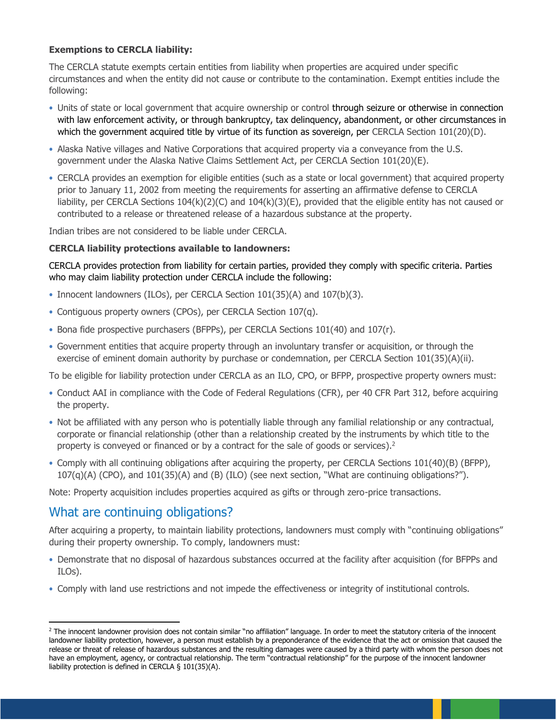#### **Exemptions to CERCLA liability:**

The CERCLA statute exempts certain entities from liability when properties are acquired under specific circumstances and when the entity did not cause or contribute to the contamination. Exempt entities include the following:

- Units of state or local government that acquire ownership or control through seizure or otherwise in connection with law enforcement activity, or through bankruptcy, tax delinquency, abandonment, or other circumstances in which the government acquired title by virtue of its function as sovereign, per CERCLA Section 101(20)(D).
- Alaska Native villages and Native Corporations that acquired property via a conveyance from the U.S. government under the Alaska Native Claims Settlement Act, per CERCLA Section 101(20)(E).
- CERCLA provides an exemption for eligible entities (such as a state or local government) that acquired property prior to January 11, 2002 from meeting the requirements for asserting an affirmative defense to CERCLA liability, per CERCLA Sections 104(k)(2)(C) and 104(k)(3)(E), provided that the eligible entity has not caused or contributed to a release or threatened release of a hazardous substance at the property.

Indian tribes are not considered to be liable under CERCLA.

#### **CERCLA liability protections available to landowners:**

CERCLA provides protection from liability for certain parties, provided they comply with specific criteria. Parties who may claim liability protection under CERCLA include the following:

- Innocent landowners (ILOs), per CERCLA Section 101(35)(A) and 107(b)(3).
- Contiguous property owners (CPOs), per CERCLA Section 107(q).
- Bona fide prospective purchasers (BFPPs), per CERCLA Sections 101(40) and 107(r).
- Government entities that acquire property through an involuntary transfer or acquisition, or through the exercise of eminent domain authority by purchase or condemnation, per CERCLA Section 101(35)(A)(ii).

To be eligible for liability protection under CERCLA as an ILO, CPO, or BFPP, prospective property owners must:

- Conduct AAI in compliance with the Code of Federal Regulations (CFR), per 40 CFR Part 312, before acquiring the property.
- Not be affiliated with any person who is potentially liable through any familial relationship or any contractual, corporate or financial relationship (other than a relationship created by the instruments by which title to the property is conveyed or financed or by a contract for the sale of goods or services). $2$
- Comply with all continuing obligations after acquiring the property, per CERCLA Sections 101(40)(B) (BFPP), 107(q)(A) (CPO), and 101(35)(A) and (B) (ILO) (see next section, "What are continuing obligations?").

Note: Property acquisition includes properties acquired as gifts or through zero-price transactions.

## What are continuing obligations?

After acquiring a property, to maintain liability protections, landowners must comply with "continuing obligations" during their property ownership. To comply, landowners must:

- Demonstrate that no disposal of hazardous substances occurred at the facility after acquisition (for BFPPs and ILOs).
- Comply with land use restrictions and not impede the effectiveness or integrity of institutional controls.

<sup>&</sup>lt;sup>2</sup> The innocent landowner provision does not contain similar "no affiliation" language. In order to meet the statutory criteria of the innocent landowner liability protection, however, a person must establish by a preponderance of the evidence that the act or omission that caused the release or threat of release of hazardous substances and the resulting damages were caused by a third party with whom the person does not have an employment, agency, or contractual relationship. The term "contractual relationship" for the purpose of the innocent landowner liability protection is defined in CERCLA § 101(35)(A).